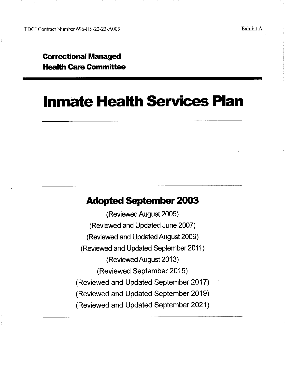TDCJ Contract Number 696-HS-22-23-A00S Exhibit A

## **Correctional Managed Health Care Committee**

# **Inmate Health Services Plan**

## **Adopted September 2003**

(Reviewed August 2005) (Reviewed and Updated June 2007) (Reviewed and Updated August 2009) (Reviewed and Updated September2011) (Reviewed August 2013) (Reviewed September 2015) (Reviewed and Updated September 2017) (Reviewed and Updated September 2019) (Reviewed and Updated September 2021)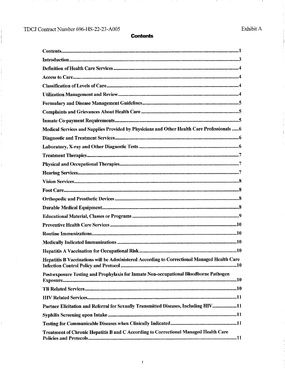İ

 $\frac{1}{2}$ 

ł

ŧ.

 $\hat{\vec{r}}$ 

-11

- 11

- 11

**Contents** 

- i

| Medical Services and Supplies Provided by Physicians and Other Health Care Professionals  6 |
|---------------------------------------------------------------------------------------------|
|                                                                                             |
|                                                                                             |
|                                                                                             |
|                                                                                             |
|                                                                                             |
|                                                                                             |
|                                                                                             |
|                                                                                             |
|                                                                                             |
|                                                                                             |
|                                                                                             |
|                                                                                             |
|                                                                                             |
|                                                                                             |
| Hepatitis B Vaccinations will be Administered According to Correctional Managed Health Care |
| Post-exposure Testing and Prophylaxis for Inmate Non-occupational Bloodborne Pathogen       |
|                                                                                             |
|                                                                                             |
| Partner Elicitation and Referral for Sexually Transmitted Diseases, Including HIV11         |
|                                                                                             |
|                                                                                             |
| Treatment of Chronic Hepatitis B and C According to Correctional Managed Health Care        |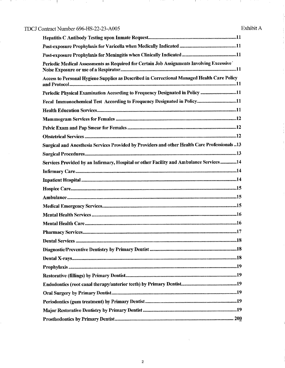## TDCJ Contract Number 696-HS-22-23-A005

 $\bar{z}$ 

- 11

-1

- 11

Ť. ÷ ÷

 $\ddot{\phantom{a}}$ 

 $\ddot{\cdot}$ 

÷.

- 11

| Periodic Medical Assessments as Required for Certain Job Assignments Involving Excessive       |
|------------------------------------------------------------------------------------------------|
| Access to Personal Hygiene Supplies as Described in Correctional Managed Health Care Policy    |
| Periodic Physical Examination According to Frequency Designated in Policy 11                   |
| Fecal Immunochemical Test According to Frequency Designated in Policy11                        |
|                                                                                                |
|                                                                                                |
|                                                                                                |
|                                                                                                |
| Surgical and Anesthesia Services Provided by Providers and other Health Care Professionals  13 |
|                                                                                                |
| Services Provided by an Infirmary, Hospital or other Facility and Ambulance Services  14       |
|                                                                                                |
|                                                                                                |
|                                                                                                |
|                                                                                                |
|                                                                                                |
|                                                                                                |
|                                                                                                |
|                                                                                                |
| <b>Dental Services.</b>                                                                        |
|                                                                                                |
|                                                                                                |
|                                                                                                |
|                                                                                                |
|                                                                                                |
|                                                                                                |
|                                                                                                |
|                                                                                                |
|                                                                                                |

 $\chi$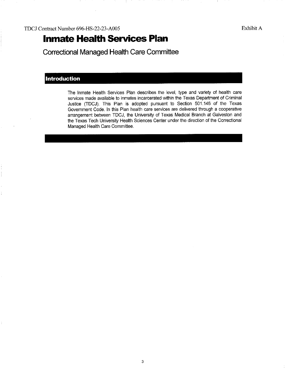# **Inmate Health Services Plan**

**Correctional Managed Health Care Committee** 

## **Introduction**

The Inmate Health Services Plan describes the level, type and variety of health care services made available to inmates incarcerated within the Texas Department of Criminal Justice (TDCJ). This Plan is adopted pursuant to Section 501.146 of the Texas Government Code. In this Plan health care services are delivered through a cooperative arrangement between TDCJ, the University of Texas Medical Branch at Galveston and the Texas Tech University Health Sciences Center under the direction of the Correctional Managed Health Care Committee.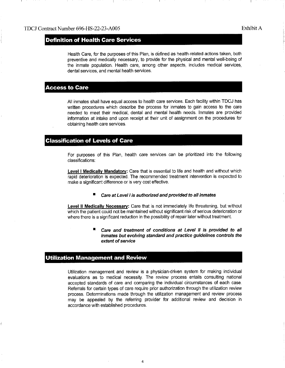## **Definition of Health Care Services**

Health Care, for the purposes of this Plan, is defined as health-related actions taken, both preventive and medically necessary, to provide for the physical and mental well-being of the inmate population. Health care, among other aspects, includes medical services, dental services, and mental health services.

## **Access to Care**

All inmates shall have equal access to health care services. Each facility within TDCJ has written procedures which describe the process for inmates to gain access to the care needed to meet their medical, dental and mental health needs. Inmates are provided information at intake and upon receipt at their unit of assignment on the procedures for obtaining health care services.

### **Classification of Levels of Care**

For purposes of this Plan, health care services can be prioritized into the following classifications:

Level I Medically Mandatory: Care that is essential to life and health and without which rapid deterioration is expected. The recommended treatment intervention is expected to make a significant difference or is very cost effective.

### **Care at Level I is authorized and provided to all inmates**

**Level II Medically Necessary:** Care that is not immediately life threatening, but without which the patient could not be maintained without significant risk of serious deterioration or where there is a significant reduction in the possibility of repair later without treatment.

### Care and treatment of conditions at Level II is provided to all **inmates but evolving standard and practice guidelines controls the extent of service**

## **Utilization Management and Review**

Utilization management and review is a physician-driven system for making individual evaluations as to medical necessity. The review process entails consulting national accepted standards of care and comparing the individual circumstances of each case. Referrals for certain types of care require prior authorization through the utilization review process. Determinations made through the utilization management and review process may be appealed by the referring provider for additional review and decision in accordance with established procedures.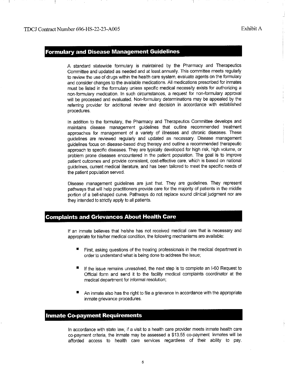## **Formulary and Disease Management Guidelines**

A standard statewide formulary is maintained by the Pharmacy and Therapeutics Committee and updated as needed and at least annually. This committee meets regularly to review the use of drugs within the health care system, evaluate agents on the formulary and consider changes to the available medications. All medications prescribed for inmates must be listed in the formulary unless specific medical necessity exists for authorizing a non-formulary medication. In such circumstances, a request for non-formulary approval will be processed and evaluated. Non-formulary determinations may be appealed by the referring provider for additional review and decision in accordance with established procedures.

In addition to the formulary, the Pharmacy and Therapeutics Committee develops and maintains disease management guidelines that outline recommended treatment approaches for management of a variety of illnesses and chronic diseases. These guidelines are reviewed regularly and updated as necessary. Disease management guidelines focus on disease-based drug therapy and outline a recommended therapeutic approach to specific diseases. They are typically developed for high risk, high volume, or problem prone diseases encountered in the patient population. The goal is to improve patient outcomes and provide consistent, cost-effective care, which is based on national guidelines, current medical literature, and has been tailored to meet the specific needs of the patient population served.

Disease management guidelines are just that They are guidelines. They represent pathways that will help practitioners provide care for the majority of patients in the middle portion of a bell-shaped curve. Pathways do not replace sound clinical judgment nor are they intended to strictly apply to all patients.

## **Complaints and Grievances About Health Care**

If an inmate believes that he/she has not received medical care that is necessary and appropriate for his/her medical condition, the following mechanisms are available:

- First, asking questions of the treating professionals in the medical department in order to understand what is being done to address the issue;
- If the issue remains unresolved, the next step is to complete an 1-60 Request to Official form and send it to the facility medical complaints coordinator at the medical department for informal resolution;
- An inmate also has the right to file a grievance in accordance with the appropriate inmate grievance procedures.

## **Inmate Co-payment Requirements**

In accordance with state law, if a visit to a health care provider meets inmate health care co-payment criteria, the inmate may be assessed a \$13.55 co-payment Inmates will be afforded access to health care services regardless of their ability to pay.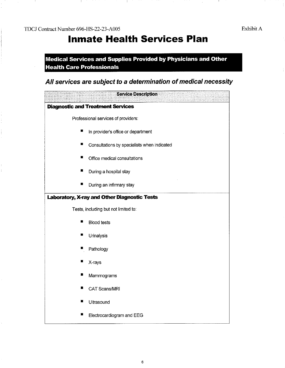TDCJ Contract Number 696-HS-22-23-A00S Exhibit A

- 11

# **Inmate Health Services Plan**

**Medical Services and Supplies Provided by Physicians and Other Health Care Professionals** 

## **All services are subject to a determination ofmedical necessity**

|                                                     | <b>Service Description</b>                  |
|-----------------------------------------------------|---------------------------------------------|
|                                                     | <b>Diagnostic and Treatment Services</b>    |
|                                                     | Professional services of providers:         |
| ш                                                   | In provider's office or department          |
|                                                     | Consultations by specialists when indicated |
|                                                     | Office medical consultations                |
| ш                                                   | During a hospital stay                      |
| ■                                                   | During an infirmary stay                    |
| <b>Laboratory, X-ray and Other Diagnostic Tests</b> |                                             |
|                                                     | Tests, including but not limited to:        |
| $\blacksquare$                                      | <b>Blood tests</b>                          |
| ▉                                                   | Urinalysis                                  |
|                                                     | Pathology                                   |
|                                                     | X-rays                                      |
|                                                     | Mammograms                                  |
|                                                     | CAT Scans/MRI                               |
|                                                     | Ultrasound                                  |
|                                                     | Electrocardiogram and EEG                   |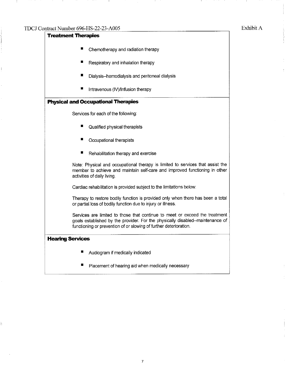**Treatment Therapies**  • Chemotherapy and radiation therapy • Respiratory and inhalation therapy • Dialysis--hemodialysis and peritoneal dialysis  $\blacksquare$  Intravenous (IV)/Infusion therapy **Physical and Occupational Therapies**  Services for each of the following: • Qualified physical therapists • Occupational therapists **E** Rehabilitation therapy and exercise Note: Physical and occupational therapy is limited to services that assist the member to achieve and maintain self-care and improved functioning in other activities of daily living. Cardiac rehabilitation is provided subject to the limitations below: Therapy to restore bodily function is provided only when there has been a total or partial loss of bodily function due to injury or illness. Services are limited to those that continue to meet or exceed the treatment goals established by the provider. For the physically disabled--maintenance of functioning or prevention of or slowing of further deterioration. **Hearing Services**  • Audiogram if medically indicated **• Placement of hearing aid when medically necessary** 

7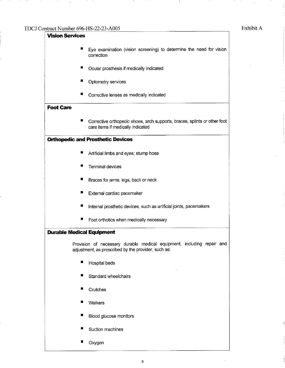I

| <b>Vision Services</b>           |                                                                                                                               |
|----------------------------------|-------------------------------------------------------------------------------------------------------------------------------|
|                                  | Eye examination (vision screening) to determine the need for vision<br>correction                                             |
| н                                | Ocular prosthesis if medically indicated                                                                                      |
| н                                | Optometry services                                                                                                            |
| н                                | Corrective lenses as medically indicated                                                                                      |
| <b>Foot Care</b>                 |                                                                                                                               |
| ■                                | Corrective orthopedic shoes, arch supports, braces, splints or other foot<br>care items if medically indicated                |
|                                  | <b>Orthopedic and Prosthetic Devices</b>                                                                                      |
| ш                                | Artificial limbs and eyes; stump hose                                                                                         |
| ■                                | <b>Terminal devices</b>                                                                                                       |
| ■                                | Braces for arms, legs, back or neck                                                                                           |
| ш                                | External cardiac pacemaker                                                                                                    |
| п                                | Internal prosthetic devices, such as artificial joints, pacemakers                                                            |
| ш                                | Foot orthotics when medically necessary                                                                                       |
| <b>Durable Medical Equipment</b> |                                                                                                                               |
|                                  | Provision of necessary durable medical equipment, including repair and<br>adjustment, as prescribed by the provider, such as: |
| п                                | Hospital beds                                                                                                                 |
| ■                                | Standard wheelchairs                                                                                                          |
| ш                                | Crutches                                                                                                                      |
| ■                                | Walkers                                                                                                                       |
| ш                                | Blood glucose monitors                                                                                                        |
| 編                                | Suction machines                                                                                                              |
| я.                               | Oxygen                                                                                                                        |
|                                  |                                                                                                                               |

- U

 $\mathbf{I}$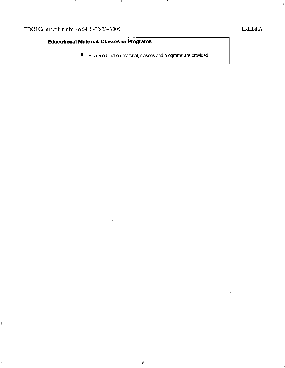Í.

ł.

- 1

## **Educational Material, Classes or Programs**

 $\overline{\phantom{a}}$ 

• Health education material, classes and programs are provided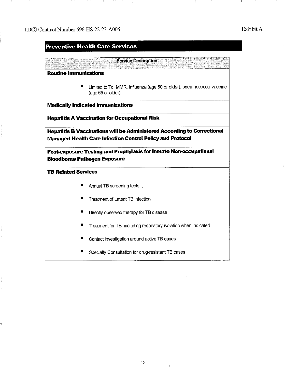## **Preventive Health Care Services**

### **Service Description**

**Routine Immunizations** 

**• Limited to Td, MMR, influenza (age 50 or older), pneumococcal vaccine** (age 65 or older)

**Medically Indicated Immunizations** 

**Hepatitis A Vaccination for Occupational Risk** 

**Hepatitis B Vaccinations will be Administered According to Correctional Managed Health Care Infection Control Policy and Protocol** 

**Post-exposure Testing and Prophylaxis for Inmate Non-occupational Bloodbome Pathogen Exposure** 

**TB Related Services** 

- Annual TB screening tests
- **Treatment of Latent TB infection**
- $\blacksquare$  Directly observed therapy for TB disease
- **Treatment for TB, including respiratory isolation when indicated**
- Contact investigation around active TB cases
- Specialty Consultation for drug-resistant TB cases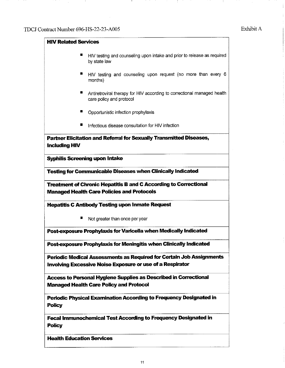$\bar{\gamma}$ 

- 1

÷

| <b>HIV Related Services</b>           |                                                                                                                                          |
|---------------------------------------|------------------------------------------------------------------------------------------------------------------------------------------|
| ■                                     | HIV testing and counseling upon intake and prior to release as required<br>by state law                                                  |
| ■                                     | HIV testing and counseling upon request (no more than every 6<br>months)                                                                 |
|                                       | Antiretroviral therapy for HIV according to correctional managed health<br>care policy and protocol                                      |
|                                       | Opportunistic infection prophylaxis                                                                                                      |
| ш                                     | Infectious disease consultation for HIV infection                                                                                        |
| <b>Including HIV</b>                  | Partner Elicitation and Referral for Sexually Transmitted Diseases,                                                                      |
| <b>Syphilis Screening upon Intake</b> |                                                                                                                                          |
|                                       | <b>Testing for Communicable Diseases when Clinically Indicated</b>                                                                       |
|                                       | <b>Treatment of Chronic Hepatitis B and C According to Correctional</b><br><b>Managed Health Care Policies and Protocols</b>             |
|                                       | <b>Hepatitis C Antibody Testing upon Inmate Request</b>                                                                                  |
| ш                                     | Not greater than once per year                                                                                                           |
|                                       | Post-exposure Prophylaxis for Varicella when Medically Indicated                                                                         |
|                                       | Post-exposure Prophylaxis for Meningitis when Clinically Indicated                                                                       |
|                                       | <b>Periodic Medical Assessments as Required for Certain Job Assignments</b><br>Involving Excessive Noise Exposure or use of a Respirator |
|                                       |                                                                                                                                          |
|                                       | Access to Personal Hygiene Supplies as Described in Correctional<br><b>Managed Health Care Policy and Protocol</b>                       |
| <b>Policy</b>                         | Periodic Physical Examination According to Frequency Designated in                                                                       |
| <b>Policy</b>                         | <b>Fecal Immunochemical Test According to Frequency Designated in</b>                                                                    |
| <b>Health Education Services</b>      |                                                                                                                                          |

-11

÷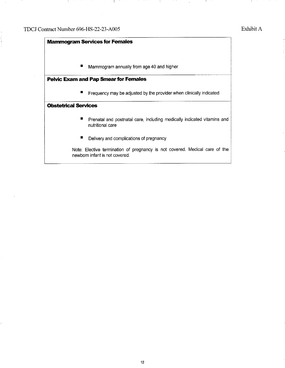İ

# **Mammogram Services for Females**  ■ Mammogram annually from age 40 and higher **Pelvic Exam and Pap Smear for Females**  ■ Frequency may be adjusted by the provider when clinically indicated **Obstetrical Services**  ■ Prenatal and postnatal care, including medically indicated vitamins and nutritional care ■ Delivery and complications of pregnancy Note: Elective termination of pregnancy is not covered. Medical care of the newborn infant is not covered.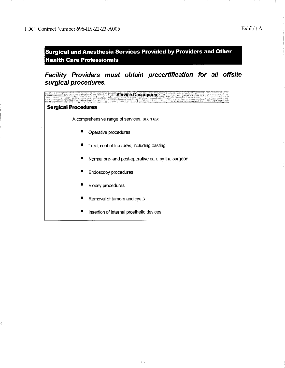Ţ.

- 11

×,

**Surgical and Anesthesia Services Provided by Providers and Other Health Care Professionals** 

**Facility Providers must obtain precertification for all offsite surgical procedures.** 

| <b>Service Description</b>                         |
|----------------------------------------------------|
| <b>Surgical Procedures</b>                         |
| A comprehensive range of services, such as:        |
| Operative procedures                               |
| Treatment of fractures, including casting          |
| Normal pre- and post-operative care by the surgeon |
| Endoscopy procedures                               |
| <b>Biopsy procedures</b>                           |
| Removal of tumors and cysts                        |
| Insertion of internal prosthetic devices           |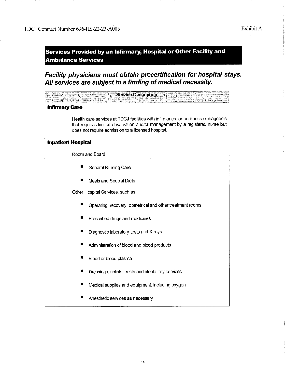- 11

**Services Provided by an Infirmary, Hospital or Other Facility and Ambulance Services** 

- 11

**Facility physicians must obtain precertification for hospital stays. All services are subject to a finding ofmedical necessity.** 

|                           | <b>Service Description</b>                                                                                                                                                                                                  |
|---------------------------|-----------------------------------------------------------------------------------------------------------------------------------------------------------------------------------------------------------------------------|
| <b>Infirmary Care</b>     |                                                                                                                                                                                                                             |
|                           | Health care services at TDCJ facilities with infirmaries for an illness or diagnosis<br>that requires limited observation and/or management by a registered nurse but<br>does not require admission to a licensed hospital. |
| <b>Inpatient Hospital</b> |                                                                                                                                                                                                                             |
|                           | Room and Board                                                                                                                                                                                                              |
|                           | <b>General Nursing Care</b>                                                                                                                                                                                                 |
|                           | ■<br>Meals and Special Diets                                                                                                                                                                                                |
|                           | Other Hospital Services, such as:                                                                                                                                                                                           |
|                           | Operating, recovery, obstetrical and other treatment rooms                                                                                                                                                                  |
|                           | ■<br>Prescribed drugs and medicines                                                                                                                                                                                         |
|                           | т<br>Diagnostic laboratory tests and X-rays                                                                                                                                                                                 |
|                           | ■<br>Administration of blood and blood products                                                                                                                                                                             |
|                           | ■<br>Blood or blood plasma                                                                                                                                                                                                  |
|                           | ■<br>Dressings, splints, casts and sterile tray services                                                                                                                                                                    |
|                           | Medical supplies and equipment, including oxygen<br>■                                                                                                                                                                       |
|                           | Anesthetic services as necessary                                                                                                                                                                                            |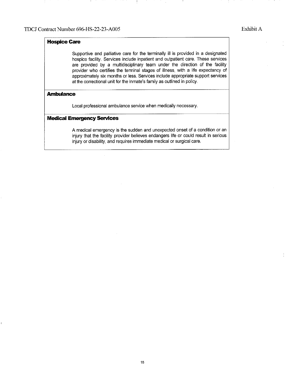## **Hospice Care**

Supportive and palliative care for the terminally ill is provided in a designated hospice facility. Services include inpatient and outpatient care. These services are provided by a multidisciplinary team under the direction of the facility provider who certifies the terminal stages of illness, with a life expectancy of approximately six months or less. Services include appropriate support services at the correctional unit for the inmate's family as outlined in policy.

### **Ambulance**

Local professional ambulance service when medically necessary.

### **Medical Emergency Services**

A medical emergency is the sudden and unexpected onset of a condition or an injury that the facility provider believes endangers life or could result in serious injury or disability, and requires immediate medical or surgical care.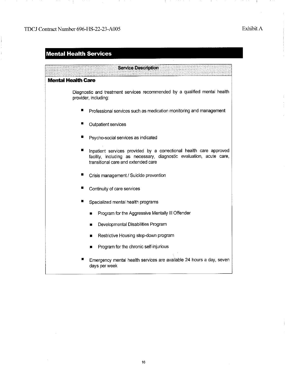$\sim$ 

Ì

 $\frac{1}{2}$ 

4.

 $\sim$   $\sim$ 

and the Co

- 11

- 11

÷.

 $\ddot{\cdot}$ 

## **Mental Health Services**

| <b>Service Description</b>                                                                                                                                                        |
|-----------------------------------------------------------------------------------------------------------------------------------------------------------------------------------|
| Mental Health Care                                                                                                                                                                |
| Diagnostic and treatment services recommended by a qualified mental health<br>provider, including:                                                                                |
| Professional services such as medication monitoring and management                                                                                                                |
| <b>Outpatient services</b>                                                                                                                                                        |
| Psycho-social services as indicated                                                                                                                                               |
| Inpatient services provided by a correctional health care approved<br>facility, including as necessary, diagnostic evaluation, acute care,<br>transitional care and extended care |
| Crisis management / Suicide prevention                                                                                                                                            |
| Continuity of care services                                                                                                                                                       |
| Specialized mental health programs                                                                                                                                                |
| Program for the Aggressive Mentally III Offender<br>н                                                                                                                             |
| Developmental Disabilities Program<br>■                                                                                                                                           |
| Restrictive Housing step-down program<br>■                                                                                                                                        |
| Program for the chronic self-injurious<br>П                                                                                                                                       |
| Emergency mental health services are available 24 hours a day, seven<br>days per week                                                                                             |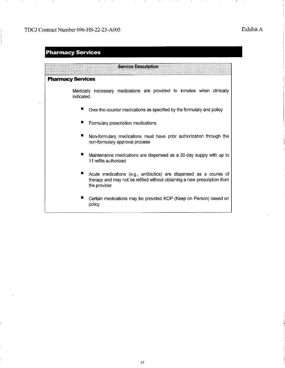## **Pharmacy Services**

**Service Description Pharmacy Services**  Medically necessary medications are provided to inmates when clinically indicated. **• Over the counter medications as specified by the formulary and policy • Formulary prescription medications** • Non-formulary medications must have prior authorization through the non-formulary approval process **■** Maintenance medications are dispensed as a 30-day supply with up to 11 refills authorized **•** Acute medications (e.g., antibiotics) are dispensed as a course of therapy and may not be refilled without obtaining a new prescription from the provider • Certain medications may be provided KOP (Keep on Person) based on policy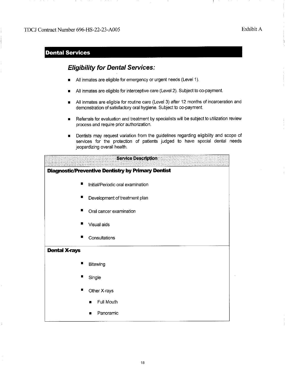## **Dental Services**

## **Eligibility for Dental Services:**

- All inmates are eligible for emergency or urgent needs (Level 1).
- All inmates are eligible for interceptive care (Level 2). Subject to co-payment.
- All inmates are eligible for routine care (Level 3) after 12 months of incarceration and demonstration of satisfactory oral hygiene. Subject to co-payment.
- Referrals for evaluation and treatment by specialists will be subject to utilization review process and require prior authorization.
- Dentists may request variation from the guidelines regarding eligibility and scope of services for the protection of patients judged to have special dental needs jeopardizing overall health.

|                      | <b>Service Description</b>                                |
|----------------------|-----------------------------------------------------------|
|                      | <b>Diagnostic/Preventive Dentistry by Primary Dentist</b> |
| П                    | Initial/Periodic oral examination                         |
| ∎                    | Development of treatment plan                             |
| н                    | Oral cancer examination                                   |
|                      | Visual aids                                               |
| ■                    | Consultations                                             |
| <b>Dental X-rays</b> |                                                           |
| п                    | Bitewing                                                  |
| ш                    | Single                                                    |
| п                    | Other X-rays                                              |
|                      | Full Mouth<br>п                                           |
|                      | Panoramic<br>п                                            |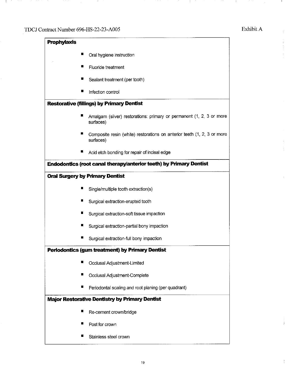-9

-11

 $\ddot{\phantom{0}}$ 

**H** 

÷

÷

ĵ.

- 11

- 10

| <b>Prophylaxis</b> |                                                                                      |
|--------------------|--------------------------------------------------------------------------------------|
|                    | Oral hygiene instruction                                                             |
| п                  | Fluoride treatment                                                                   |
| п                  | Sealant treatment (per tooth)                                                        |
|                    | Infection control                                                                    |
|                    | <b>Restorative (fillings) by Primary Dentist</b>                                     |
| ш                  | Amalgam (silver) restorations: primary or permanent (1, 2, 3 or more<br>surfaces)    |
|                    | Composite resin (white) restorations on anterior teeth (1, 2, 3 or more<br>surfaces) |
|                    | Acid etch bonding for repair of incisal edge                                         |
|                    | <b>Endodontics (root canal therapy/anterior teeth) by Primary Dentist</b>            |
|                    | <b>Oral Surgery by Primary Dentist</b>                                               |
| ■                  | Single/multiple tooth extraction(s)                                                  |
| ш                  | Surgical extraction-erupted tooth                                                    |
|                    | Surgical extraction-soft tissue impaction                                            |
|                    | Surgical extraction-partial bony impaction                                           |
|                    | Surgical extraction-full bony impaction                                              |
|                    | Periodontics (gum treatment) by Primary Dentist                                      |
| п                  | Occlusal Adjustment-Limited                                                          |
| П                  | Occlusal Adjustment-Complete                                                         |
| ■                  | Periodontal scaling and root planing (per quadrant)                                  |
|                    | <b>Major Restorative Dentistry by Primary Dentist</b>                                |
|                    | Re-cement crown/bridge                                                               |
| Б                  | Post for crown                                                                       |
|                    | Stainless steel crown                                                                |